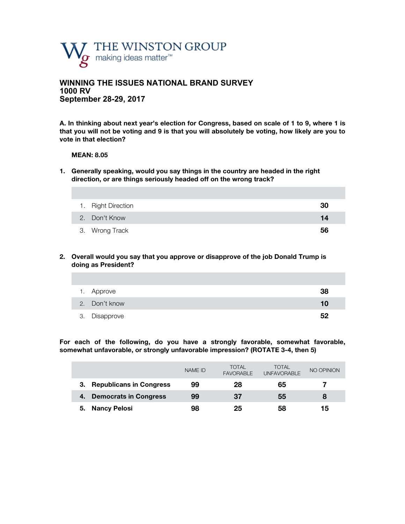

## **WINNING THE ISSUES NATIONAL BRAND SURVEY 1000 RV September 28-29, 2017**

**A. In thinking about next year's election for Congress, based on scale of 1 to 9, where 1 is that you will not be voting and 9 is that you will absolutely be voting, how likely are you to vote in that election?**

#### **MEAN: 8.05**

**1. Generally speaking, would you say things in the country are headed in the right direction, or are things seriously headed off on the wrong track?** 

| 1. Right Direction | 30 |
|--------------------|----|
| 2. Don't Know      | 14 |
| 3. Wrong Track     | 56 |

**2. Overall would you say that you approve or disapprove of the job Donald Trump is doing as President?**

| 1. Approve    | 38 |
|---------------|----|
| 2. Don't know | 10 |
| 3. Disapprove | 52 |

**For each of the following, do you have a strongly favorable, somewhat favorable, somewhat unfavorable, or strongly unfavorable impression? (ROTATE 3-4, then 5)**

|                                | <b>NAME ID</b> | <b>TOTAL</b><br><b>FAVORABLE</b> | <b>TOTAL</b><br><b>UNFAVORABLE</b> | NO OPINION |
|--------------------------------|----------------|----------------------------------|------------------------------------|------------|
| <b>Republicans in Congress</b> | 99             | 28                               | 65                                 |            |
| <b>Democrats in Congress</b>   | 99             | 37                               | 55                                 | 8          |
| <b>Nancy Pelosi</b><br>5.      | 98             | 25                               | 58                                 | 15         |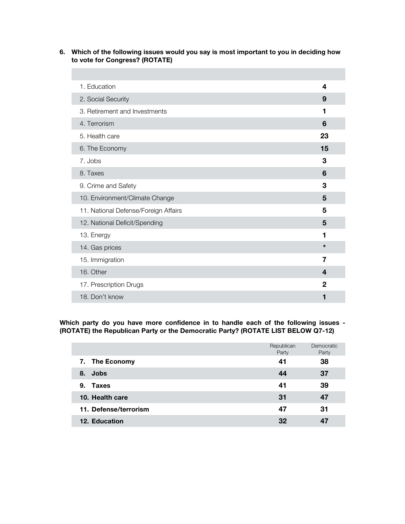**6. Which of the following issues would you say is most important to you in deciding how to vote for Congress? (ROTATE)**

| 1. Education                         | 4            |  |
|--------------------------------------|--------------|--|
| 2. Social Security                   | 9            |  |
| 3. Retirement and Investments        | 1            |  |
| 4. Terrorism                         | 6            |  |
| 5. Health care                       | 23           |  |
| 6. The Economy                       | 15           |  |
| 7. Jobs                              | 3            |  |
| 8. Taxes                             | 6            |  |
| 9. Crime and Safety                  | 3            |  |
| 10. Environment/Climate Change       | 5            |  |
| 11. National Defense/Foreign Affairs | 5            |  |
| 12. National Deficit/Spending        | 5            |  |
| 13. Energy                           | 1            |  |
| 14. Gas prices                       | $\star$      |  |
| 15. Immigration                      | 7            |  |
| 16. Other                            | 4            |  |
| 17. Prescription Drugs               | $\mathbf{2}$ |  |
| 18. Don't know                       | 1            |  |

**Which party do you have more confidence in to handle each of the following issues - (ROTATE) the Republican Party or the Democratic Party? (ROTATE LIST BELOW Q7-12)**

|                       | Republican<br>Party | Democratic<br>Party |
|-----------------------|---------------------|---------------------|
| 7. The Economy        | 41                  | 38                  |
| <b>Jobs</b><br>8.     | 44                  | 37                  |
| <b>Taxes</b><br>9.    | 41                  | 39                  |
| 10. Health care       | 31                  | 47                  |
| 11. Defense/terrorism | 47                  | 31                  |
| <b>12. Education</b>  | 32                  |                     |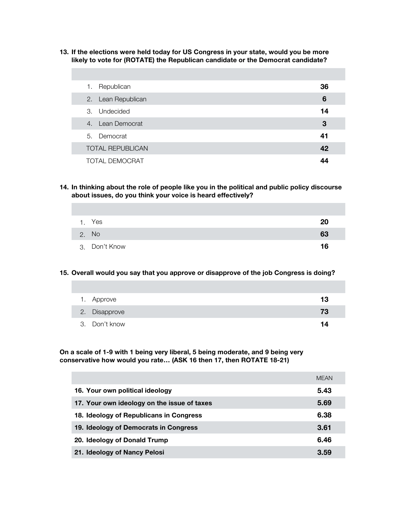**13. If the elections were held today for US Congress in your state, would you be more likely to vote for (ROTATE) the Republican candidate or the Democrat candidate?** 

| Republican<br>1.        | 36 |
|-------------------------|----|
| 2. Lean Republican      | 6  |
| 3. Undecided            | 14 |
| 4. Lean Democrat        | 3  |
| 5. Democrat             | 41 |
| <b>TOTAL REPUBLICAN</b> | 42 |
| <b>TOTAL DEMOCRAT</b>   | 44 |

**14. In thinking about the role of people like you in the political and public policy discourse about issues, do you think your voice is heard effectively?** 

| 1. Yes        | 20 |
|---------------|----|
| 2. No         | 63 |
| 3. Don't Know | 16 |

### **15. Overall would you say that you approve or disapprove of the job Congress is doing?**

| 1. Approve    | 13 |
|---------------|----|
| 2. Disapprove | 73 |
| 3. Don't know | 14 |

**On a scale of 1-9 with 1 being very liberal, 5 being moderate, and 9 being very conservative how would you rate… (ASK 16 then 17, then ROTATE 18-21)**

|                                             | MFAN |
|---------------------------------------------|------|
| 16. Your own political ideology             | 5.43 |
| 17. Your own ideology on the issue of taxes | 5.69 |
| 18. Ideology of Republicans in Congress     | 6.38 |
| 19. Ideology of Democrats in Congress       | 3.61 |
| 20. Ideology of Donald Trump                | 6.46 |
| 21. Ideology of Nancy Pelosi                | 3.59 |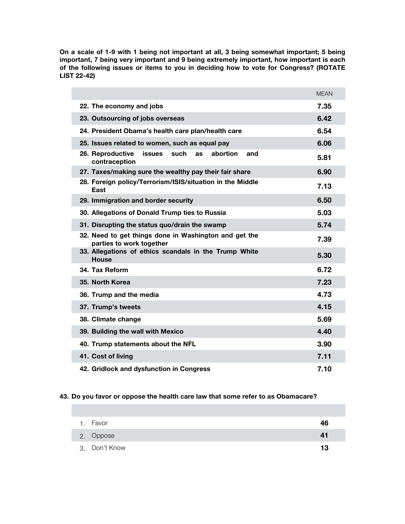**On a scale of 1-9 with 1 being not important at all, 3 being somewhat important; 5 being important, 7 being very important and 9 being extremely important, how important is each of the following issues or items to you in deciding how to vote for Congress? (ROTATE LIST 22-42)** 

|                                                                                            | <b>MEAN</b> |
|--------------------------------------------------------------------------------------------|-------------|
| 22. The economy and jobs                                                                   | 7.35        |
| 23. Outsourcing of jobs overseas                                                           | 6.42        |
| 24. President Obama's health care plan/health care                                         | 6.54        |
| 25. Issues related to women, such as equal pay                                             | 6.06        |
| 26. Reproductive<br>abortion<br><b>issues</b><br>such<br>and<br><b>as</b><br>contraception | 5.81        |
| 27. Taxes/making sure the wealthy pay their fair share                                     | 6.90        |
| 28. Foreign policy/Terrorism/ISIS/situation in the Middle<br>East                          | 7.13        |
| 29. Immigration and border security                                                        | 6.50        |
| 30. Allegations of Donald Trump ties to Russia                                             | 5.03        |
| 31. Disrupting the status quo/drain the swamp                                              | 5.74        |
| 32. Need to get things done in Washington and get the<br>parties to work together          | 7.39        |
| 33. Allegations of ethics scandals in the Trump White<br><b>House</b>                      | 5.30        |
| 34. Tax Reform                                                                             | 6.72        |
| 35. North Korea                                                                            | 7.23        |
| 36. Trump and the media                                                                    | 4.73        |
| 37. Trump's tweets                                                                         | 4.15        |
| 38. Climate change                                                                         | 5.69        |
| 39. Building the wall with Mexico                                                          | 4.40        |
| 40. Trump statements about the NFL                                                         | 3.90        |
| 41. Cost of living                                                                         | 7.11        |
| 42. Gridlock and dysfunction in Congress                                                   | 7.10        |

## **43. Do you favor or oppose the health care law that some refer to as Obamacare?**

| 1. Favor      | 46 |
|---------------|----|
| 2. Oppose     | 41 |
| 3. Don't Know | 13 |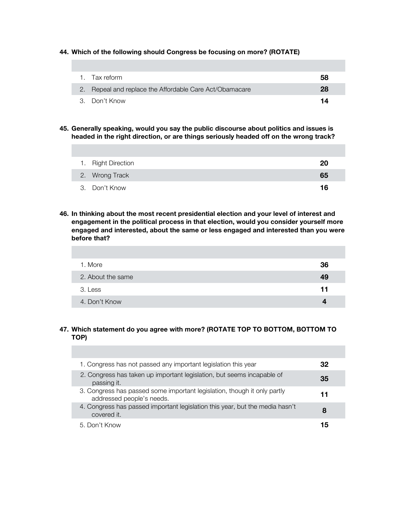**44. Which of the following should Congress be focusing on more? (ROTATE)**

| 1. Tax reform                                           | 58 |
|---------------------------------------------------------|----|
| 2. Repeal and replace the Affordable Care Act/Obamacare | 28 |
| 3. Don't Know                                           | 14 |

**45. Generally speaking, would you say the public discourse about politics and issues is headed in the right direction, or are things seriously headed off on the wrong track?** 

| 1. Right Direction | 20 |
|--------------------|----|
| 2. Wrong Track     | 65 |
| 3. Don't Know      | 16 |

**46. In thinking about the most recent presidential election and your level of interest and engagement in the political process in that election, would you consider yourself more engaged and interested, about the same or less engaged and interested than you were before that?** 

| 1. More           | 36 |
|-------------------|----|
| 2. About the same | 49 |
| 3. Less           | 11 |
| 4. Don't Know     |    |

## **47. Which statement do you agree with more? (ROTATE TOP TO BOTTOM, BOTTOM TO TOP)**

| 1. Congress has not passed any important legislation this year                                        | 32 |  |
|-------------------------------------------------------------------------------------------------------|----|--|
| 2. Congress has taken up important legislation, but seems incapable of<br>passing it.                 | 35 |  |
| 3. Congress has passed some important legislation, though it only partly<br>addressed people's needs. | 11 |  |
| 4. Congress has passed important legislation this year, but the media hasn't<br>covered it.           | 8  |  |
| 5. Don't Know                                                                                         | י! |  |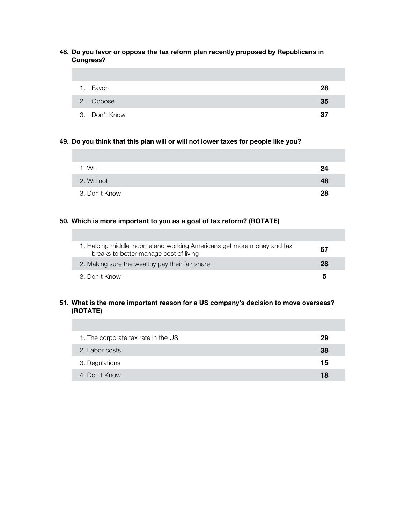## **48. Do you favor or oppose the tax reform plan recently proposed by Republicans in Congress?**

| 1. Favor      | 28 |
|---------------|----|
| 2. Oppose     | 35 |
| 3. Don't Know | 37 |

### **49. Do you think that this plan will or will not lower taxes for people like you?**

| 1. Will       | 24 |
|---------------|----|
| 2. Will not   | 48 |
| 3. Don't Know | 28 |

## **50. Which is more important to you as a goal of tax reform? (ROTATE)**

| 1. Helping middle income and working Americans get more money and tax<br>breaks to better manage cost of living | 67 |
|-----------------------------------------------------------------------------------------------------------------|----|
| 2. Making sure the wealthy pay their fair share                                                                 | 28 |
| 3. Don't Know                                                                                                   | 5  |

## **51. What is the more important reason for a US company's decision to move overseas? (ROTATE)**

| 1. The corporate tax rate in the US | 29 |
|-------------------------------------|----|
| 2. Labor costs                      | 38 |
| 3. Regulations                      | 15 |
| 4. Don't Know                       | 18 |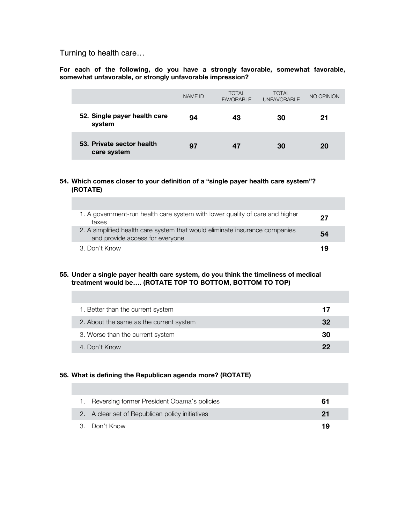Turning to health care…

**For each of the following, do you have a strongly favorable, somewhat favorable, somewhat unfavorable, or strongly unfavorable impression?**

|                                          | NAME ID | <b>TOTAL</b><br><b>FAVORABLE</b> | <b>TOTAL</b><br><b>UNFAVORABLE</b> | NO OPINION |
|------------------------------------------|---------|----------------------------------|------------------------------------|------------|
| 52. Single payer health care<br>system   | 94      | 43                               | 30                                 | 21         |
| 53. Private sector health<br>care system | 97      | 47                               | 30                                 | 20         |

### **54. Which comes closer to your definition of a "single payer health care system"? (ROTATE)**

| 1. A government-run health care system with lower quality of care and higher<br>taxes                          | 27 |
|----------------------------------------------------------------------------------------------------------------|----|
| 2. A simplified health care system that would eliminate insurance companies<br>and provide access for everyone | 54 |
| 3. Don't Know                                                                                                  | 19 |

**55. Under a single payer health care system, do you think the timeliness of medical treatment would be…. (ROTATE TOP TO BOTTOM, BOTTOM TO TOP)**

| 1. Better than the current system       | 17 |
|-----------------------------------------|----|
| 2. About the same as the current system | 32 |
| 3. Worse than the current system        | 30 |
| 4. Don't Know                           | クク |

### **56. What is defining the Republican agenda more? (ROTATE)**

| 1. Reversing former President Obama's policies  | 61 |
|-------------------------------------------------|----|
| 2. A clear set of Republican policy initiatives | 21 |
| 3. Don't Know                                   | 19 |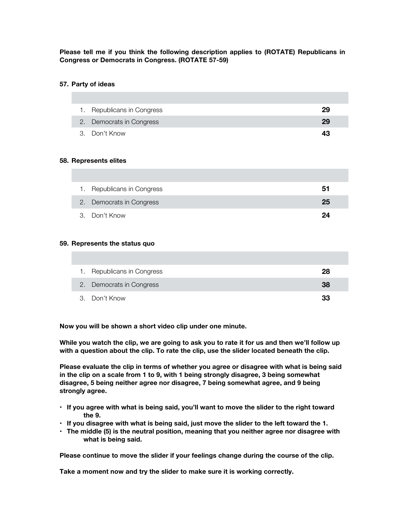## **Please tell me if you think the following description applies to (ROTATE) Republicans in Congress or Democrats in Congress. (ROTATE 57-59)**

#### **57. Party of ideas**

| 1. Republicans in Congress | 29 |
|----------------------------|----|
| 2. Democrats in Congress   | 29 |
| 3. Don't Know              | 43 |

#### **58. Represents elites**

| 1. Republicans in Congress | 51 |
|----------------------------|----|
| 2. Democrats in Congress   | 25 |
| 3. Don't Know              | 24 |

### **59. Represents the status quo**

| 1. Republicans in Congress | 28 |
|----------------------------|----|
| 2. Democrats in Congress   | 38 |
| 3. Don't Know              | 33 |

**Now you will be shown a short video clip under one minute.**

**While you watch the clip, we are going to ask you to rate it for us and then we'll follow up with a question about the clip. To rate the clip, use the slider located beneath the clip.** 

**Please evaluate the clip in terms of whether you agree or disagree with what is being said in the clip on a scale from 1 to 9, with 1 being strongly disagree, 3 being somewhat disagree, 5 being neither agree nor disagree, 7 being somewhat agree, and 9 being strongly agree.**

- **If you agree with what is being said, you'll want to move the slider to the right toward the 9.**
- **If you disagree with what is being said, just move the slider to the left toward the 1.**
- **The middle (5) is the neutral position, meaning that you neither agree nor disagree with what is being said.**

**Please continue to move the slider if your feelings change during the course of the clip.**

**Take a moment now and try the slider to make sure it is working correctly.**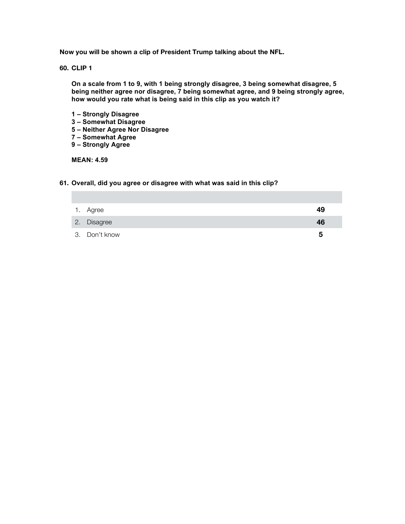**Now you will be shown a clip of President Trump talking about the NFL.**

**60. CLIP 1**

**On a scale from 1 to 9, with 1 being strongly disagree, 3 being somewhat disagree, 5 being neither agree nor disagree, 7 being somewhat agree, and 9 being strongly agree, how would you rate what is being said in this clip as you watch it?** 

- **1 – Strongly Disagree**
- **3 – Somewhat Disagree**
- **5 – Neither Agree Nor Disagree**
- **7 – Somewhat Agree**
- **9 – Strongly Agree**

**MEAN: 4.59**

#### **61. Overall, did you agree or disagree with what was said in this clip?**

| 1. Agree      | 49 |
|---------------|----|
| 2. Disagree   | 46 |
| 3. Don't know | 5  |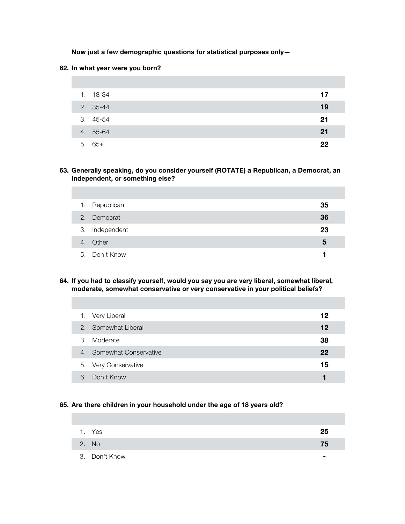**Now just a few demographic questions for statistical purposes only—**

#### **62. In what year were you born?**

| 1. 18-34 | 17 |
|----------|----|
| 2. 35-44 | 19 |
| 3. 45-54 | 21 |
| 4. 55-64 | 21 |
| $5.65+$  | 22 |

**63. Generally speaking, do you consider yourself (ROTATE) a Republican, a Democrat, an Independent, or something else?**

| 1. | Republican     | 35 |
|----|----------------|----|
|    | 2. Democrat    | 36 |
|    | 3. Independent | 23 |
|    | 4. Other       | 5  |
|    | 5. Don't Know  |    |

**64. If you had to classify yourself, would you say you are very liberal, somewhat liberal, moderate, somewhat conservative or very conservative in your political beliefs?**

| 1. Very Liberal          | 12 |
|--------------------------|----|
| 2. Somewhat Liberal      | 12 |
| 3. Moderate              | 38 |
| 4. Somewhat Conservative | 22 |
| 5. Very Conservative     | 15 |
| 6. Don't Know            |    |

### **65. Are there children in your household under the age of 18 years old?**

| 1. Yes        | 25 |
|---------------|----|
| 2. No         | 75 |
| 3. Don't Know |    |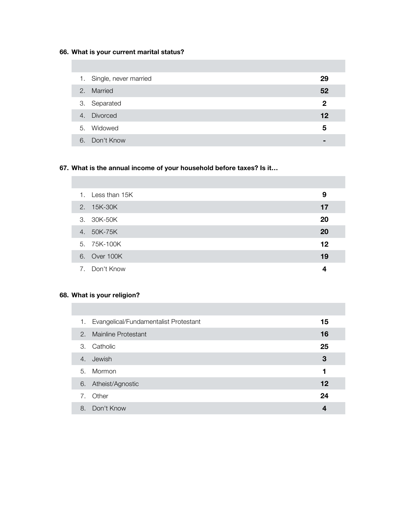# **66. What is your current marital status?**

|    | 1. Single, never married | 29           |
|----|--------------------------|--------------|
| 2. | Married                  | 52           |
|    | 3. Separated             | $\mathbf{2}$ |
| 4. | <b>Divorced</b>          | 12           |
|    | 5. Widowed               | 5            |
| 6. | Don't Know               |              |

# **67. What is the annual income of your household before taxes? Is it…**

|  | 1. Less than 15K | 9  |  |
|--|------------------|----|--|
|  | 2. 15K-30K       | 17 |  |
|  | 3. 30K-50K       | 20 |  |
|  | 4. 50K-75K       | 20 |  |
|  | 5. 75K-100K      | 12 |  |
|  | 6. Over 100K     | 19 |  |
|  | 7. Don't Know    | 4  |  |

# **68. What is your religion?**

| 1. | Evangelical/Fundamentalist Protestant | 15 |
|----|---------------------------------------|----|
| 2. | <b>Mainline Protestant</b>            | 16 |
| 3. | Catholic                              | 25 |
| 4. | Jewish                                | 3  |
| 5. | Mormon                                | 1  |
| 6. | Atheist/Agnostic                      | 12 |
| 7. | Other                                 | 24 |
| 8. | Don't Know                            | 4  |
|    |                                       |    |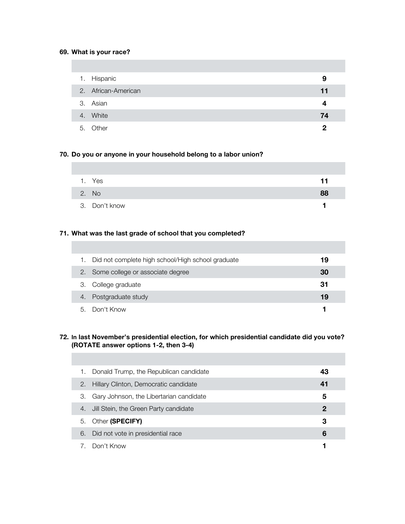## **69. What is your race?**

| 1. Hispanic         | 9  |
|---------------------|----|
| 2. African-American | 11 |
| 3. Asian            | 4  |
| 4. White            | 74 |
| 5. Other            | 2  |

## **70. Do you or anyone in your household belong to a labor union?**

| 1. Yes        | 11 |
|---------------|----|
| 2. No         | 88 |
| 3. Don't know |    |

## **71. What was the last grade of school that you completed?**

|    | Did not complete high school/High school graduate | 19 |
|----|---------------------------------------------------|----|
| 2. | Some college or associate degree                  | 30 |
|    | 3. College graduate                               | 31 |
| 4. | Postgraduate study                                | 19 |
| h. | Don't Know                                        |    |

### **72. In last November's presidential election, for which presidential candidate did you vote? (ROTATE answer options 1-2, then 3-4)**

| 1. | Donald Trump, the Republican candidate  | 43 |
|----|-----------------------------------------|----|
| 2. | Hillary Clinton, Democratic candidate   | 41 |
| З. | Gary Johnson, the Libertarian candidate | 5  |
| 4. | Jill Stein, the Green Party candidate   | 2  |
| 5. | Other (SPECIFY)                         | 3  |
| 6. | Did not vote in presidential race       | 6  |
| 7. | Don't Know                              |    |